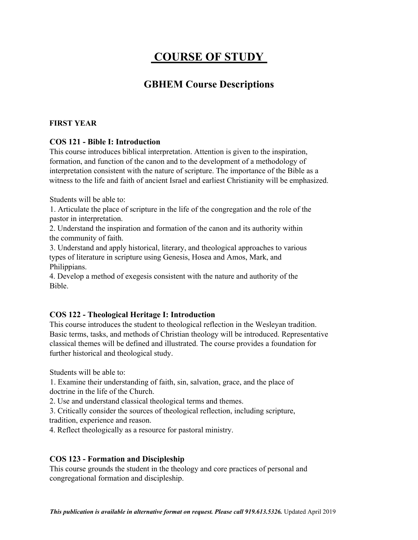# **COURSE OF STUDY**

# **GBHEM Course Descriptions**

#### **FIRST YEAR**

#### **COS 121 - Bible I: Introduction**

This course introduces biblical interpretation. Attention is given to the inspiration, formation, and function of the canon and to the development of a methodology of interpretation consistent with the nature of scripture. The importance of the Bible as a witness to the life and faith of ancient Israel and earliest Christianity will be emphasized.

Students will be able to:

1. Articulate the place of scripture in the life of the congregation and the role of the pastor in interpretation.

2. Understand the inspiration and formation of the canon and its authority within the community of faith.

3. Understand and apply historical, literary, and theological approaches to various types of literature in scripture using Genesis, Hosea and Amos, Mark, and Philippians.

4. Develop a method of exegesis consistent with the nature and authority of the Bible.

#### **COS 122 - Theological Heritage I: Introduction**

This course introduces the student to theological reflection in the Wesleyan tradition. Basic terms, tasks, and methods of Christian theology will be introduced. Representative classical themes will be defined and illustrated. The course provides a foundation for further historical and theological study.

Students will be able to:

1. Examine their understanding of faith, sin, salvation, grace, and the place of doctrine in the life of the Church.

2. Use and understand classical theological terms and themes.

3. Critically consider the sources of theological reflection, including scripture, tradition, experience and reason.

4. Reflect theologically as a resource for pastoral ministry.

#### **COS 123 - Formation and Discipleship**

This course grounds the student in the theology and core practices of personal and congregational formation and discipleship.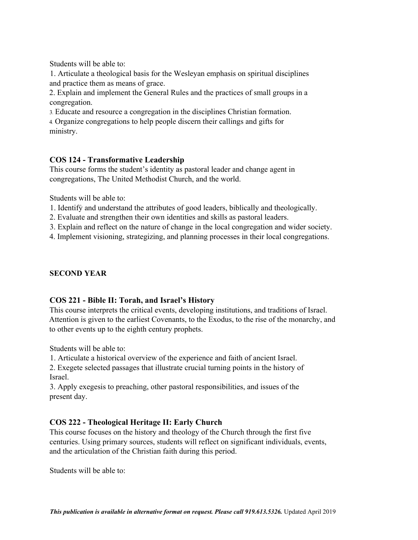Students will be able to:

1. Articulate a theological basis for the Wesleyan emphasis on spiritual disciplines and practice them as means of grace.

2. Explain and implement the General Rules and the practices of small groups in a congregation.

3**.** Educate and resource a congregation in the disciplines Christian formation.

4**.** Organize congregations to help people discern their callings and gifts for ministry.

#### **COS 124 - Transformative Leadership**

This course forms the student's identity as pastoral leader and change agent in congregations, The United Methodist Church, and the world.

Students will be able to:

- 1. Identify and understand the attributes of good leaders, biblically and theologically.
- 2. Evaluate and strengthen their own identities and skills as pastoral leaders.
- 3. Explain and reflect on the nature of change in the local congregation and wider society.

4. Implement visioning, strategizing, and planning processes in their local congregations.

#### **SECOND YEAR**

#### **COS 221 - Bible II: Torah, and Israel's History**

This course interprets the critical events, developing institutions, and traditions of Israel. Attention is given to the earliest Covenants, to the Exodus, to the rise of the monarchy, and to other events up to the eighth century prophets.

Students will be able to:

1. Articulate a historical overview of the experience and faith of ancient Israel.

2. Exegete selected passages that illustrate crucial turning points in the history of Israel.

3. Apply exegesis to preaching, other pastoral responsibilities, and issues of the present day.

#### **COS 222 - Theological Heritage II: Early Church**

This course focuses on the history and theology of the Church through the first five centuries. Using primary sources, students will reflect on significant individuals, events, and the articulation of the Christian faith during this period.

Students will be able to: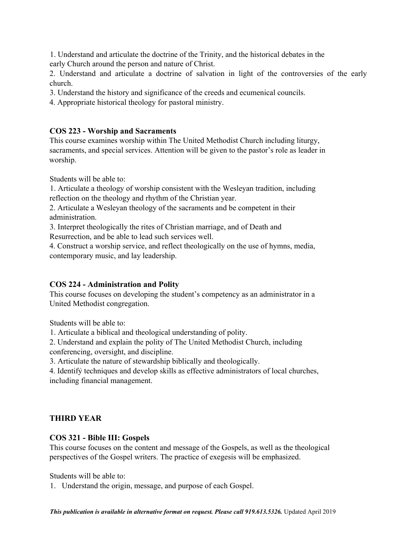1. Understand and articulate the doctrine of the Trinity, and the historical debates in the early Church around the person and nature of Christ.

2. Understand and articulate a doctrine of salvation in light of the controversies of the early church.

3. Understand the history and significance of the creeds and ecumenical councils.

4. Appropriate historical theology for pastoral ministry.

### **COS 223 - Worship and Sacraments**

This course examines worship within The United Methodist Church including liturgy, sacraments, and special services. Attention will be given to the pastor's role as leader in worship.

Students will be able to:

1. Articulate a theology of worship consistent with the Wesleyan tradition, including reflection on the theology and rhythm of the Christian year.

2. Articulate a Wesleyan theology of the sacraments and be competent in their administration.

3. Interpret theologically the rites of Christian marriage, and of Death and Resurrection, and be able to lead such services well.

4. Construct a worship service, and reflect theologically on the use of hymns, media, contemporary music, and lay leadership.

#### **COS 224 - Administration and Polity**

This course focuses on developing the student's competency as an administrator in a United Methodist congregation.

Students will be able to:

1. Articulate a biblical and theological understanding of polity.

2. Understand and explain the polity of The United Methodist Church, including conferencing, oversight, and discipline.

3. Articulate the nature of stewardship biblically and theologically.

4. Identify techniques and develop skills as effective administrators of local churches, including financial management.

# **THIRD YEAR**

# **COS 321 - Bible III: Gospels**

This course focuses on the content and message of the Gospels, as well as the theological perspectives of the Gospel writers. The practice of exegesis will be emphasized.

Students will be able to:

1. Understand the origin, message, and purpose of each Gospel.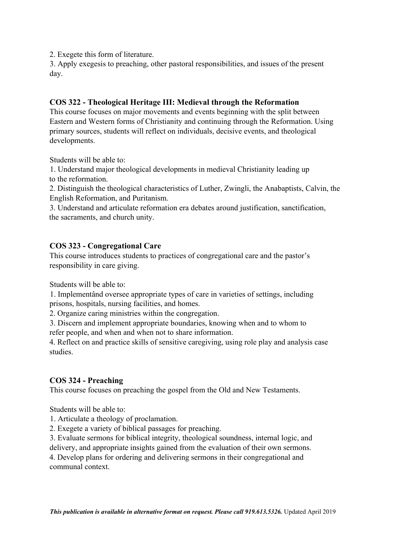2. Exegete this form of literature.

3. Apply exegesis to preaching, other pastoral responsibilities, and issues of the present day.

#### **COS 322 - Theological Heritage III: Medieval through the Reformation**

This course focuses on major movements and events beginning with the split between Eastern and Western forms of Christianity and continuing through the Reformation. Using primary sources, students will reflect on individuals, decisive events, and theological developments.

Students will be able to:

1. Understand major theological developments in medieval Christianity leading up to the reformation.

2. Distinguish the theological characteristics of Luther, Zwingli, the Anabaptists, Calvin, the English Reformation, and Puritanism.

3. Understand and articulate reformation era debates around justification, sanctification, the sacraments, and church unity.

# **COS 323 - Congregational Care**

This course introduces students to practices of congregational care and the pastor's responsibility in care giving.

Students will be able to:

1. Implementând oversee appropriate types of care in varieties of settings, including prisons, hospitals, nursing facilities, and homes.

2. Organize caring ministries within the congregation.

3. Discern and implement appropriate boundaries, knowing when and to whom to refer people, and when and when not to share information.

4. Reflect on and practice skills of sensitive caregiving, using role play and analysis case studies.

#### **COS 324 - Preaching**

This course focuses on preaching the gospel from the Old and New Testaments.

Students will be able to:

- 1. Articulate a theology of proclamation.
- 2. Exegete a variety of biblical passages for preaching.
- 3. Evaluate sermons for biblical integrity, theological soundness, internal logic, and
- delivery, and appropriate insights gained from the evaluation of their own sermons.

4. Develop plans for ordering and delivering sermons in their congregational and communal context.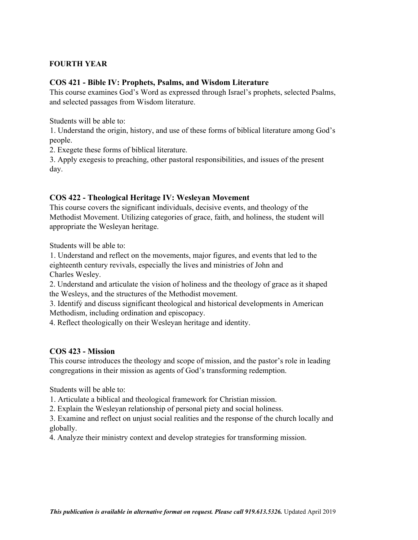#### **FOURTH YEAR**

#### **COS 421 - Bible IV: Prophets, Psalms, and Wisdom Literature**

This course examines God's Word as expressed through Israel's prophets, selected Psalms, and selected passages from Wisdom literature.

Students will be able to:

1. Understand the origin, history, and use of these forms of biblical literature among God's people.

2. Exegete these forms of biblical literature.

3. Apply exegesis to preaching, other pastoral responsibilities, and issues of the present day.

#### **COS 422 - Theological Heritage IV: Wesleyan Movement**

This course covers the significant individuals, decisive events, and theology of the Methodist Movement. Utilizing categories of grace, faith, and holiness, the student will appropriate the Wesleyan heritage.

Students will be able to:

1. Understand and reflect on the movements, major figures, and events that led to the eighteenth century revivals, especially the lives and ministries of John and Charles Wesley.

2. Understand and articulate the vision of holiness and the theology of grace as it shaped the Wesleys, and the structures of the Methodist movement.

3. Identify and discuss significant theological and historical developments in American Methodism, including ordination and episcopacy.

4. Reflect theologically on their Wesleyan heritage and identity.

#### **COS 423 - Mission**

This course introduces the theology and scope of mission, and the pastor's role in leading congregations in their mission as agents of God's transforming redemption.

Students will be able to:

1. Articulate a biblical and theological framework for Christian mission.

2. Explain the Wesleyan relationship of personal piety and social holiness.

3. Examine and reflect on unjust social realities and the response of the church locally and globally.

4. Analyze their ministry context and develop strategies for transforming mission.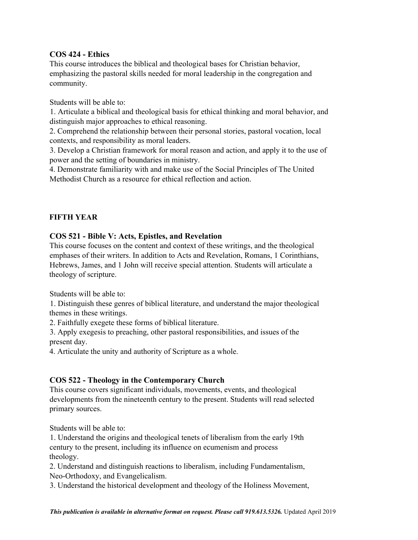#### **COS 424 - Ethics**

This course introduces the biblical and theological bases for Christian behavior, emphasizing the pastoral skills needed for moral leadership in the congregation and community.

Students will be able to:

1. Articulate a biblical and theological basis for ethical thinking and moral behavior, and distinguish major approaches to ethical reasoning.

2. Comprehend the relationship between their personal stories, pastoral vocation, local contexts, and responsibility as moral leaders.

3. Develop a Christian framework for moral reason and action, and apply it to the use of power and the setting of boundaries in ministry.

4. Demonstrate familiarity with and make use of the Social Principles of The United Methodist Church as a resource for ethical reflection and action.

#### **FIFTH YEAR**

#### **COS 521 - Bible V: Acts, Epistles, and Revelation**

This course focuses on the content and context of these writings, and the theological emphases of their writers. In addition to Acts and Revelation, Romans, 1 Corinthians, Hebrews, James, and 1 John will receive special attention. Students will articulate a theology of scripture.

Students will be able to:

1. Distinguish these genres of biblical literature, and understand the major theological themes in these writings.

2. Faithfully exegete these forms of biblical literature.

3. Apply exegesis to preaching, other pastoral responsibilities, and issues of the present day.

4. Articulate the unity and authority of Scripture as a whole.

#### **COS 522 - Theology in the Contemporary Church**

This course covers significant individuals, movements, events, and theological developments from the nineteenth century to the present. Students will read selected primary sources.

Students will be able to:

1. Understand the origins and theological tenets of liberalism from the early 19th century to the present, including its influence on ecumenism and process theology.

2. Understand and distinguish reactions to liberalism, including Fundamentalism, Neo-Orthodoxy, and Evangelicalism.

3. Understand the historical development and theology of the Holiness Movement,